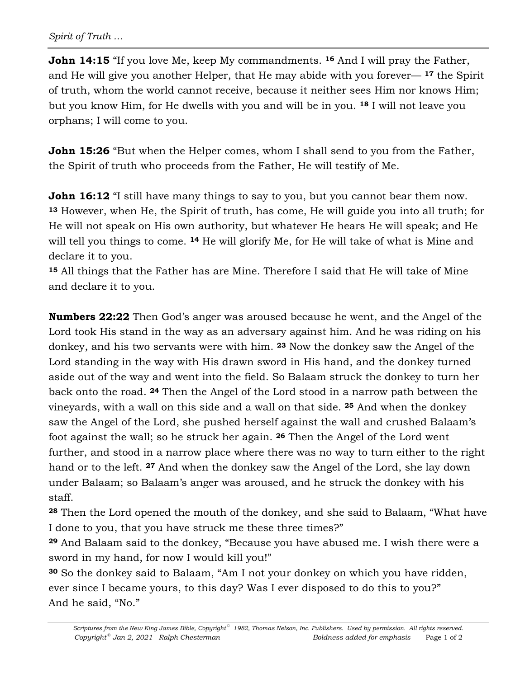**John 14:15** "If you love Me, keep My commandments. <sup>16</sup> And I will pray the Father, and He will give you another Helper, that He may abide with you forever— **<sup>17</sup>** the Spirit of truth, whom the world cannot receive, because it neither sees Him nor knows Him; but you know Him, for He dwells with you and will be in you. **<sup>18</sup>** I will not leave you orphans; I will come to you.

**John 15:26** "But when the Helper comes, whom I shall send to you from the Father, the Spirit of truth who proceeds from the Father, He will testify of Me.

**John 16:12** "I still have many things to say to you, but you cannot bear them now. **<sup>13</sup>** However, when He, the Spirit of truth, has come, He will guide you into all truth; for He will not speak on His own authority, but whatever He hears He will speak; and He will tell you things to come. **<sup>14</sup>** He will glorify Me, for He will take of what is Mine and declare it to you.

**<sup>15</sup>** All things that the Father has are Mine. Therefore I said that He will take of Mine and declare it to you.

**Numbers 22:22** Then God's anger was aroused because he went, and the Angel of the Lord took His stand in the way as an adversary against him. And he was riding on his donkey, and his two servants were with him. **<sup>23</sup>** Now the donkey saw the Angel of the Lord standing in the way with His drawn sword in His hand, and the donkey turned aside out of the way and went into the field. So Balaam struck the donkey to turn her back onto the road. **<sup>24</sup>** Then the Angel of the Lord stood in a narrow path between the vineyards, with a wall on this side and a wall on that side. **<sup>25</sup>** And when the donkey saw the Angel of the Lord, she pushed herself against the wall and crushed Balaam's foot against the wall; so he struck her again. **<sup>26</sup>** Then the Angel of the Lord went further, and stood in a narrow place where there was no way to turn either to the right hand or to the left. **<sup>27</sup>** And when the donkey saw the Angel of the Lord, she lay down under Balaam; so Balaam's anger was aroused, and he struck the donkey with his staff.

**<sup>28</sup>** Then the Lord opened the mouth of the donkey, and she said to Balaam, "What have I done to you, that you have struck me these three times?"

**<sup>29</sup>** And Balaam said to the donkey, "Because you have abused me. I wish there were a sword in my hand, for now I would kill you!"

**<sup>30</sup>** So the donkey said to Balaam, "Am I not your donkey on which you have ridden, ever since I became yours, to this day? Was I ever disposed to do this to you?" And he said, "No."